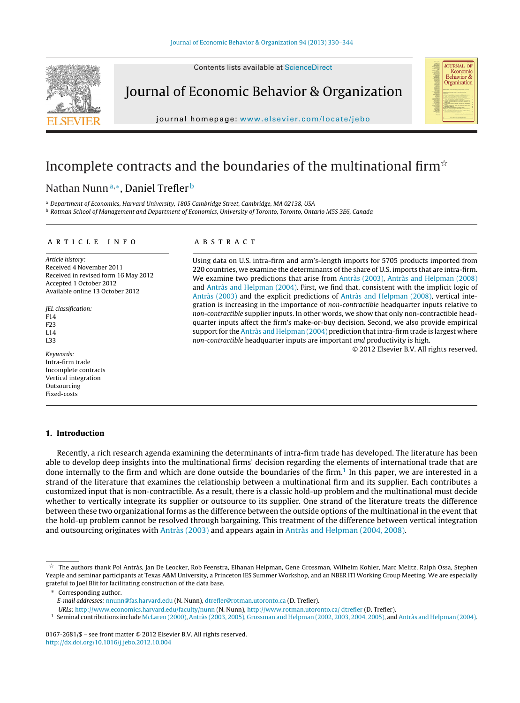Contents lists available at [ScienceDirect](http://www.sciencedirect.com/science/journal/01672681)



Journal of Economic Behavior & Organization



journal homepage: [www.elsevier.com/locate/jebo](http://www.elsevier.com/locate/jebo)

# Incomplete contracts and the boundaries of the multinational firm $^{\star}$

# Nathan Nunn<sup>a,∗</sup>, Daniel Trefler<sup>b</sup>

a Department of Economics, Harvard University, 1805 Cambridge Street, Cambridge, MA 02138, USA <sup>b</sup> Rotman School of Management and Department of Economics, University of Toronto, Toronto, Ontario M5S 3E6, Canada

#### a r t i c l e i n f o

Article history: Received 4 November 2011 Received in revised form 16 May 2012 Accepted 1 October 2012 Available online 13 October 2012

JEL classification: F14 F23 L14 L33

Keywords: Intra-firm trade Incomplete contracts Vertical integration Outsourcing Fixed-costs

# **1. Introduction**

## a b s t r a c t

Using data on U.S. intra-firm and arm's-length imports for 5705 products imported from 220 countries, we examine the determinants of the share of U.S. imports that are intra-firm. We examine two predictions that arise from [Antràs](#page-14-0) [\(2003\),](#page-14-0) [Antràs](#page-14-0) [and](#page-14-0) [Helpman](#page-14-0) [\(2008\)](#page-14-0) and [Antràs](#page-14-0) [and](#page-14-0) [Helpman](#page-14-0) [\(2004\).](#page-14-0) First, we find that, consistent with the implicit logic of [Antràs](#page-14-0) [\(2003\)](#page-14-0) and the explicit predictions of [Antràs](#page-14-0) [and](#page-14-0) [Helpman](#page-14-0) [\(2008\),](#page-14-0) vertical integration is increasing in the importance of non-contractible headquarter inputs relative to non-contractible supplier inputs. In other words, we show that only non-contractible headquarter inputs affect the firm's make-or-buy decision. Second, we also provide empirical support for the [Antràs](#page-14-0) [and](#page-14-0) [Helpman](#page-14-0) [\(2004\)](#page-14-0) prediction that intra-firm trade is largest where non-contractible headquarter inputs are important and productivity is high.

© 2012 Elsevier B.V. All rights reserved.

Recently, a rich research agenda examining the determinants of intra-firm trade has developed. The literature has been able to develop deep insights into the multinational firms' decision regarding the elements of international trade that are done internally to the firm and which are done outside the boundaries of the firm.<sup>1</sup> In this paper, we are interested in a strand of the literature that examines the relationship between a multinational firm and its supplier. Each contributes a customized input that is non-contractible. As a result, there is a classic hold-up problem and the multinational must decide whether to vertically integrate its supplier or outsource to its supplier. One strand of the literature treats the difference between these two organizational forms as the difference between the outside options of the multinational in the event that the hold-up problem cannot be resolved through bargaining. This treatment of the difference between vertical integration and outsourcing originates with [Antràs](#page-14-0) [\(2003\)](#page-14-0) and appears again in [Antràs](#page-14-0) [and](#page-14-0) [Helpman](#page-14-0) [\(2004,](#page-14-0) [2008\).](#page-14-0)

Corresponding author.

<sup>1</sup> Seminal contributions include [McLaren](#page-14-0) [\(2000\),](#page-14-0) [Antràs](#page-14-0) [\(2003,](#page-14-0) [2005\),](#page-14-0) [Grossman](#page-14-0) [and](#page-14-0) [Helpman](#page-14-0) [\(2002,](#page-14-0) [2003,](#page-14-0) [2004,](#page-14-0) [2005\),](#page-14-0) and [Antràs](#page-14-0) [and](#page-14-0) [Helpman](#page-14-0) [\(2004\).](#page-14-0)

 $^\star$  The authors thank Pol Antràs, Jan De Leocker, Rob Feenstra, Elhanan Helpman, Gene Grossman, Wilhelm Kohler, Marc Melitz, Ralph Ossa, Stephen Yeaple and seminar participants at Texas A&M University, a Princeton IES Summer Workshop, and an NBER ITI Working Group Meeting. We are especially grateful to Joel Blit for facilitating construction of the data base.

E-mail addresses: [nnunn@fas.harvard.edu](mailto:nnunn@fas.harvard.edu) (N. Nunn), [dtrefler@rotman.utoronto.ca](mailto:dtrefler@rotman.utoronto.ca) (D. Trefler).

URLs: <http://www.economics.harvard.edu/faculty/nunn> (N. Nunn), [http://www.rotman.utoronto.ca/](http://www.rotman.utoronto.ca/~dtrefler) dtrefler (D. Trefler).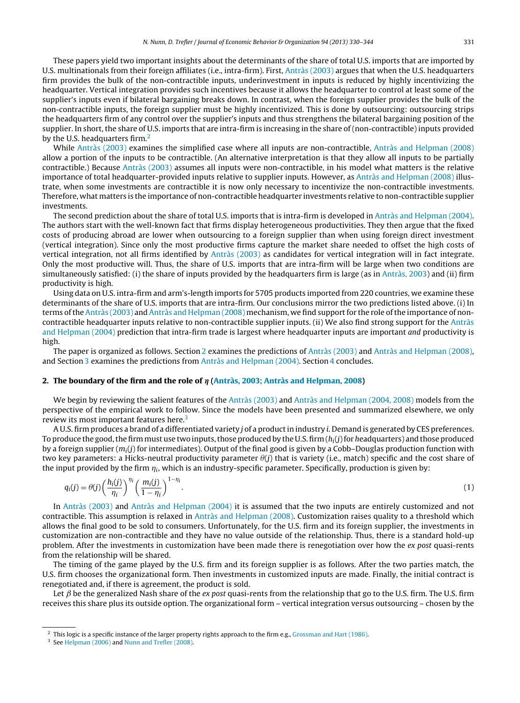<span id="page-1-0"></span>These papers yield two important insights about the determinants of the share of total U.S. imports that are imported by U.S. multinationals from their foreign affiliates (i.e., intra-firm). First, [Antràs](#page-14-0) [\(2003\)](#page-14-0) argues that when the U.S. headquarters firm provides the bulk of the non-contractible inputs, underinvestment in inputs is reduced by highly incentivizing the headquarter. Vertical integration provides such incentives because it allows the headquarter to control at least some of the supplier's inputs even if bilateral bargaining breaks down. In contrast, when the foreign supplier provides the bulk of the non-contractible inputs, the foreign supplier must be highly incentivized. This is done by outsourcing: outsourcing strips the headquarters firm of any control over the supplier's inputs and thus strengthens the bilateral bargaining position of the supplier. In short, the share of U.S. imports that are intra-firm is increasing in the share of (non-contractible) inputs provided by the U.S. headquarters firm. $<sup>2</sup>$ </sup>

While [Antràs](#page-14-0) [\(2003\)](#page-14-0) examines the simplified case where all inputs are non-contractible, [Antràs](#page-14-0) [and](#page-14-0) [Helpman](#page-14-0) [\(2008\)](#page-14-0) allow a portion of the inputs to be contractible. (An alternative interpretation is that they allow all inputs to be partially contractible.) Because [Antràs](#page-14-0) [\(2003\)](#page-14-0) assumes all inputs were non-contractible, in his model what matters is the relative importance of total headquarter-provided inputs relative to supplier inputs. However, as [Antràs](#page-14-0) [and](#page-14-0) [Helpman](#page-14-0) [\(2008\)](#page-14-0) illustrate, when some investments are contractible it is now only necessary to incentivize the non-contractible investments. Therefore, what matters is the importance of non-contractible headquarter investments relative to non-contractible supplier investments.

The second prediction about the share of total U.S. imports that is intra-firm is developed in [Antràs](#page-14-0) [and](#page-14-0) [Helpman](#page-14-0) [\(2004\).](#page-14-0) The authors start with the well-known fact that firms display heterogeneous productivities. They then argue that the fixed costs of producing abroad are lower when outsourcing to a foreign supplier than when using foreign direct investment (vertical integration). Since only the most productive firms capture the market share needed to offset the high costs of vertical integration, not all firms identified by [Antràs](#page-14-0) [\(2003\)](#page-14-0) as candidates for vertical integration will in fact integrate. Only the most productive will. Thus, the share of U.S. imports that are intra-firm will be large when two conditions are simultaneously satisfied: (i) the share of inputs provided by the headquarters firm is large (as in [Antràs,](#page-14-0) [2003\)](#page-14-0) and (ii) firm productivity is high.

Using data on U.S. intra-firm and arm's-length imports for 5705 products imported from 220 countries, we examine these determinants of the share of U.S. imports that are intra-firm. Our conclusions mirror the two predictions listed above. (i) In terms of the [Antràs](#page-14-0) [\(2003\)](#page-14-0) [and](#page-14-0) Antràs and [Helpman](#page-14-0) [\(2008\)](#page-14-0) mechanism, we find support for the role of the importance of noncontractible headquarter inputs relative to non-contractible supplier inputs. (ii) We also find strong support for the [Antràs](#page-14-0) [and](#page-14-0) [Helpman](#page-14-0) [\(2004\)](#page-14-0) prediction that intra-firm trade is largest where headquarter inputs are important and productivity is high.

The paper is organized as follows. Section 2 examines the predictions of [Antràs](#page-14-0) [\(2003\)](#page-14-0) and [Antràs](#page-14-0) [and](#page-14-0) [Helpman](#page-14-0) [\(2008\),](#page-14-0) and Section [3](#page-10-0) examines the predictions from [Antràs](#page-14-0) [and](#page-14-0) [Helpman](#page-14-0) [\(2004\).](#page-14-0) Section [4](#page-13-0) concludes.

#### **2. The boundary of the firm and the role of - [\(Antràs,](#page-14-0) [2003;](#page-14-0) [Antràs](#page-14-0) [and](#page-14-0) [Helpman,](#page-14-0) [2008\)](#page-14-0)**

We begin by reviewing the salient features of the [Antràs](#page-14-0) [\(2003\)](#page-14-0) and [Antràs](#page-14-0) [and](#page-14-0) [Helpman](#page-14-0) [\(2004,](#page-14-0) [2008\)](#page-14-0) models from the perspective of the empirical work to follow. Since the models have been presented and summarized elsewhere, we only review its most important features here.<sup>3</sup>

A U.S. firm produces a brand of a differentiated variety *j* of a product in industry *i*. Demand is generated by CES preferences. To produce the good, the firm must use two inputs, those produced by the U.S. firm  $(h_i(j)$  for headquarters) and those produced by a foreign supplier  $(m_i(j)$  for intermediates). Output of the final good is given by a Cobb–Douglas production function with two key parameters: a Hicks-neutral productivity parameter  $\theta(j)$  that is variety (i.e., match) specific and the cost share of the input provided by the firm  $\eta_i$ , which is an industry-specific parameter. Specifically, production is given by:

$$
q_i(j) = \theta(j) \left(\frac{h_i(j)}{\eta_i}\right)^{\eta_i} \left(\frac{m_i(j)}{1-\eta_i}\right)^{1-\eta_i}.
$$
\n(1)

In [Antràs](#page-14-0) [\(2003\)](#page-14-0) and [Antràs](#page-14-0) [and](#page-14-0) [Helpman](#page-14-0) [\(2004\)](#page-14-0) it is assumed that the two inputs are entirely customized and not contractible. This assumption is relaxed in [Antràs](#page-14-0) [and](#page-14-0) [Helpman](#page-14-0) [\(2008\).](#page-14-0) Customization raises quality to a threshold which allows the final good to be sold to consumers. Unfortunately, for the U.S. firm and its foreign supplier, the investments in customization are non-contractible and they have no value outside of the relationship. Thus, there is a standard hold-up problem. After the investments in customization have been made there is renegotiation over how the ex post quasi-rents from the relationship will be shared.

The timing of the game played by the U.S. firm and its foreign supplier is as follows. After the two parties match, the U.S. firm chooses the organizational form. Then investments in customized inputs are made. Finally, the initial contract is renegotiated and, if there is agreement, the product is sold.

Let  $\beta$  be the generalized Nash share of the ex post quasi-rents from the relationship that go to the U.S. firm. The U.S. firm receives this share plus its outside option. The organizational form – vertical integration versus outsourcing – chosen by the

<sup>&</sup>lt;sup>2</sup> This logic is a specific instance of the larger property rights approach to the firm e.g., [Grossman](#page-14-0) [and](#page-14-0) [Hart](#page-14-0) [\(1986\).](#page-14-0)

<sup>3</sup> See [Helpman](#page-14-0) [\(2006\)](#page-14-0) and [Nunn](#page-14-0) [and](#page-14-0) [Trefler](#page-14-0) [\(2008\).](#page-14-0)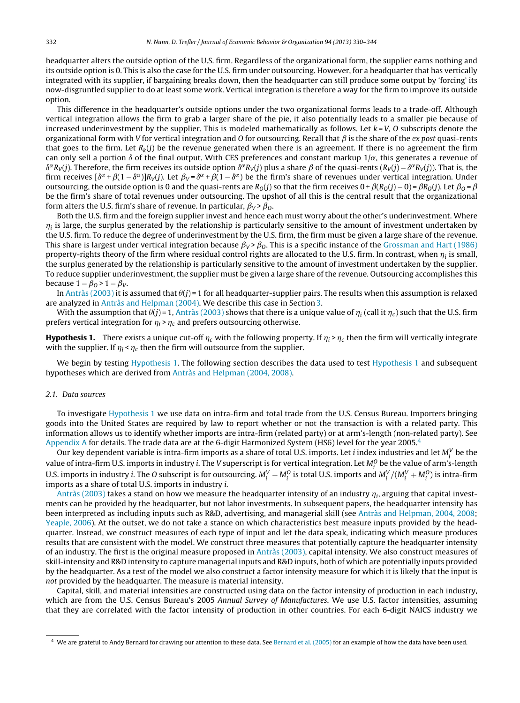<span id="page-2-0"></span>headquarter alters the outside option of the U.S. firm. Regardless of the organizational form, the supplier earns nothing and its outside option is 0. This is also the case for the U.S. firm under outsourcing. However, for a headquarter that has vertically integrated with its supplier, if bargaining breaks down, then the headquarter can still produce some output by 'forcing' its now-disgruntled supplier to do at least some work. Vertical integration is therefore a way for the firm to improve its outside option.

This difference in the headquarter's outside options under the two organizational forms leads to a trade-off. Although vertical integration allows the firm to grab a larger share of the pie, it also potentially leads to a smaller pie because of increased underinvestment by the supplier. This is modeled mathematically as follows. Let  $k = V$ , O subscripts denote the organizational form with V for vertical integration and O for outsourcing. Recall that  $\beta$  is the share of the ex post quasi-rents that goes to the firm. Let  $R_k(j)$  be the revenue generated when there is an agreement. If there is no agreement the firm can only sell a portion  $\delta$  of the final output. With CES preferences and constant markup  $1/\alpha$ , this generates a revenue of  $\delta^{\alpha}R_V(j)$ . Therefore, the firm receives its outside option  $\delta^{\alpha}R_V(j)$  plus a share  $\beta$  of the quasi-rents  $(R_V(j) - \delta^{\alpha}R_V(j))$ . That is, the firm receives  $\delta^{\alpha} + \beta(1 - \delta^{\alpha})R_V(i)$ . Let  $\beta_V = \delta^{\alpha} + \beta(1 - \delta^{\alpha})$  be the firm's share of revenues under vertical integration. Under outsourcing, the outside option is 0 and the quasi-rents are  $R_O(j)$  so that the firm receives  $0 + \beta(R_O(j) - 0) = \beta R_O(j)$ . Let  $\beta_O = \beta$ be the firm's share of total revenues under outsourcing. The upshot of all this is the central result that the organizational form alters the U.S. firm's share of revenue. In particular,  $\beta_V > \beta_O$ .

Both the U.S. firm and the foreign supplier invest and hence each must worry about the other's underinvestment. Where  $\eta_i$  is large, the surplus generated by the relationship is particularly sensitive to the amount of investment undertaken by the U.S. firm. To reduce the degree of underinvestment by the U.S. firm, the firm must be given a large share of the revenue. This share is largest under vertical integration because  $\beta_V > \beta_O$ . This is a specific instance of the [Grossman](#page-14-0) [and](#page-14-0) [Hart](#page-14-0) [\(1986\)](#page-14-0) property-rights theory of the firm where residual control rights are allocated to the U.S. firm. In contrast, when  $\eta_i$  is small, the surplus generated by the relationship is particularly sensitive to the amount of investment undertaken by the supplier. To reduce supplier underinvestment, the supplier must be given a large share of the revenue. Outsourcing accomplishes this because  $1 - \beta_0 > 1 - \beta_V$ .

In [Antràs](#page-14-0) [\(2003\)](#page-14-0) it is assumed that  $\theta$ (j)=1 for all headquarter-supplier pairs. The results when this assumption is relaxed are analyzed in [Antràs](#page-14-0) [and](#page-14-0) [Helpman](#page-14-0) [\(2004\).](#page-14-0) We describe this case in Section [3.](#page-10-0)

With the assumption that  $\theta(j)$ =1, [Antràs](#page-14-0) [\(2003\)](#page-14-0) shows that there is a unique value of  $\eta_i$  (call it  $\eta_c$ ) such that the U.S. firm prefers vertical integration for  $\eta_i > \eta_c$  and prefers outsourcing otherwise.

**Hypothesis 1.** There exists a unique cut-off  $\eta_c$  with the following property. If  $\eta_i > \eta_c$  then the firm will vertically integrate with the supplier. If  $\eta_i < \eta_c$  then the firm will outsource from the supplier.

We begin by testing Hypothesis 1. The following section describes the data used to test Hypothesis 1 and subsequent hypotheses which are derived from [Antràs](#page-14-0) [and](#page-14-0) [Helpman](#page-14-0) [\(2004,](#page-14-0) [2008\).](#page-14-0)

#### 2.1. Data sources

To investigate Hypothesis 1 we use data on intra-firm and total trade from the U.S. Census Bureau. Importers bringing goods into the United States are required by law to report whether or not the transaction is with a related party. This information allows us to identify whether imports are intra-firm (related party) or at arm's-length (non-related party). See [Appendix](#page-14-0) [A](#page-14-0) for details. The trade data are at the 6-digit Harmonized System (HS6) level for the year 2005.<sup>4</sup>

Our key dependent variable is intra-firm imports as a share of total U.S. imports. Let i index industries and let  $M_i^V$  be the value of intra-firm U.S. imports in industry i. The V superscript is for vertical integration. Let  $M^O_i$  be the value of arm's-length U.S. imports in industry i. The O subscript is for outsourcing.  $M_i^V + M_i^O$  is total U.S. imports and  $M_i^V/(M_i^V+M_i^O)$  is intra-firm imports as a share of total U.S. imports in industry i.

[Antràs](#page-14-0) [\(2003\)](#page-14-0) takes a stand on how we measure the headquarter intensity of an industry  $\eta_i$ , arguing that capital investments can be provided by the headquarter, but not labor investments. In subsequent papers, the headquarter intensity has been interpreted as including inputs such as R&D, advertising, and managerial skill (see [Antràs](#page-14-0) [and](#page-14-0) [Helpman,](#page-14-0) [2004,](#page-14-0) [2008;](#page-14-0) [Yeaple,](#page-14-0) [2006\).](#page-14-0) At the outset, we do not take a stance on which characteristics best measure inputs provided by the headquarter. Instead, we construct measures of each type of input and let the data speak, indicating which measure produces results that are consistent with the model. We construct three measures that potentially capture the headquarter intensity of an industry. The first is the original measure proposed in [Antràs](#page-14-0) [\(2003\),](#page-14-0) capital intensity. We also construct measures of skill-intensity and R&D intensity to capture managerial inputs and R&D inputs, both of which are potentially inputs provided by the headquarter. As a test of the model we also construct a factor intensity measure for which it is likely that the input is not provided by the headquarter. The measure is material intensity.

Capital, skill, and material intensities are constructed using data on the factor intensity of production in each industry, which are from the U.S. Census Bureau's 2005 Annual Survey of Manufactures. We use U.S. factor intensities, assuming that they are correlated with the factor intensity of production in other countries. For each 6-digit NAICS industry we

<sup>4</sup> We are grateful to Andy Bernard for drawing our attention to these data. See [Bernard](#page-14-0) et [al.](#page-14-0) [\(2005\)](#page-14-0) for an example of how the data have been used.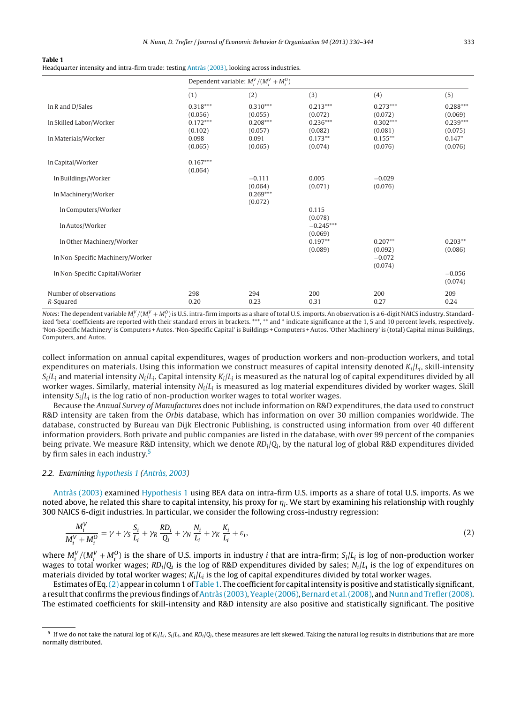<span id="page-3-0"></span>**Table 1**

Headquarter intensity and intra-firm trade: testing [Antràs](#page-14-0) [\(2003\),](#page-14-0) looking across industries.

|                                  | Dependent variable: $M_i^V/(M_i^V+M_i^O)$ |                       |                        |                       |                       |
|----------------------------------|-------------------------------------------|-----------------------|------------------------|-----------------------|-----------------------|
|                                  | (1)                                       | (2)                   | (3)                    | (4)                   | (5)                   |
| $ln R$ and $D/Sales$             | $0.318***$<br>(0.056)                     | $0.310***$<br>(0.055) | $0.213***$<br>(0.072)  | $0.273***$<br>(0.072) | $0.288***$<br>(0.069) |
| In Skilled Labor/Worker          | $0.172***$<br>(0.102)                     | $0.208***$<br>(0.057) | $0.236***$<br>(0.082)  | $0.302***$<br>(0.081) | $0.239***$<br>(0.075) |
| In Materials/Worker              | 0.098<br>(0.065)                          | 0.091<br>(0.065)      | $0.173**$<br>(0.074)   | $0.155***$<br>(0.076) | $0.147*$<br>(0.076)   |
| In Capital/Worker                | $0.167***$<br>(0.064)                     |                       |                        |                       |                       |
| In Buildings/Worker              |                                           | $-0.111$<br>(0.064)   | 0.005<br>(0.071)       | $-0.029$<br>(0.076)   |                       |
| In Machinery/Worker              |                                           | $0.269***$<br>(0.072) |                        |                       |                       |
| In Computers/Worker              |                                           |                       | 0.115<br>(0.078)       |                       |                       |
| In Autos/Worker                  |                                           |                       | $-0.245***$<br>(0.069) |                       |                       |
| In Other Machinery/Worker        |                                           |                       | $0.197**$<br>(0.089)   | $0.207**$<br>(0.092)  | $0.203**$<br>(0.086)  |
| In Non-Specific Machinery/Worker |                                           |                       |                        | $-0.072$<br>(0.074)   |                       |
| In Non-Specific Capital/Worker   |                                           |                       |                        |                       | $-0.056$<br>(0.074)   |
| Number of observations           | 298<br>0.20                               | 294<br>0.23           | 200<br>0.31            | 200<br>0.27           | 209<br>0.24           |
| R-Squared                        |                                           |                       |                        |                       |                       |

Notes: The dependent variable  $M_i^V/(M_i^V+M_i^O)$  is U.S. intra-firm imports as a share of total U.S. imports. An observation is a 6-digit NAICS industry. Standardized 'beta' coefficients are reported with their standard errors in brackets. \*\*\*, \*\* and \* indicate significance at the 1, 5 and 10 percent levels, respectively. 'Non-Specific Machinery' is Computers +Autos. 'Non-Specific Capital' is Buildings + Computers +Autos. 'Other Machinery' is (total) Capital minus Buildings, Computers, and Autos.

collect information on annual capital expenditures, wages of production workers and non-production workers, and total expenditures on materials. Using this information we construct measures of capital intensity denoted  $K_i/L_i$ , skill-intensity  $S_i/L_i$  and material intensity  $N_i/L_i$ . Capital intensity  $K_i/L_i$  is measured as the natural log of capital expenditures divided by all worker wages. Similarly, material intensity  $N_i/L_i$  is measured as log material expenditures divided by worker wages. Skill intensity  $S_i/L_i$  is the log ratio of non-production worker wages to total worker wages.

Because the Annual Survey of Manufactures does not include information on R&D expenditures, the data used to construct R&D intensity are taken from the Orbis database, which has information on over 30 million companies worldwide. The database, constructed by Bureau van Dijk Electronic Publishing, is constructed using information from over 40 different information providers. Both private and public companies are listed in the database, with over 99 percent of the companies being private. We measure R&D intensity, which we denote  $RD_i/Q_i$ , by the natural log of global R&D expenditures divided by firm sales in each industry.5

#### 2.2. Examining [hypothesis](#page-2-0) [1](#page-2-0) ([Antràs,](#page-14-0) [2003\)](#page-14-0)

[Antràs](#page-14-0) [\(2003\)](#page-14-0) examined [Hypothesis](#page-2-0) [1](#page-2-0) using BEA data on intra-firm U.S. imports as a share of total U.S. imports. As we noted above, he related this share to capital intensity, his proxy for  $\eta_i$ . We start by examining his relationship with roughly 300 NAICS 6-digit industries. In particular, we consider the following cross-industry regression:

$$
\frac{M_i^V}{M_i^V + M_i^O} = \gamma + \gamma_S \frac{S_i}{L_i} + \gamma_R \frac{R D_i}{Q_i} + \gamma_N \frac{N_i}{L_i} + \gamma_K \frac{K_i}{L_i} + \varepsilon_i,
$$
\n(2)

where  $M_i^V/(M_i^V+M_i^O)$  is the share of U.S. imports in industry *i* that are intra-firm;  $S_i/L_i$  is log of non-production worker wages to total worker wages;  $RD_i/Q_i$  is the log of R&D expenditures divided by sales;  $N_i/L_i$  is the log of expenditures on materials divided by total worker wages;  $K_i/L_i$  is the log of capital expenditures divided by total worker wages.

Estimates of Eq.  $(2)$  appear in column 1 of Table 1. The coefficient for capital intensity is positive and statistically significant, a resultthat confirms the previous findings of[Antràs](#page-14-0) [\(2003\),](#page-14-0) [Yeaple](#page-14-0) [\(2006\),](#page-14-0) [Bernard](#page-14-0) et [al.\(2008\),](#page-14-0) and [Nunn](#page-14-0) [and](#page-14-0) [Trefler](#page-14-0) [\(2008\).](#page-14-0) The estimated coefficients for skill-intensity and R&D intensity are also positive and statistically significant. The positive

<sup>&</sup>lt;sup>5</sup> If we do not take the natural log of  $K_i/L_i$ ,  $S_i/L_i$ , and  $RD_i/Q_i$ , these measures are left skewed. Taking the natural log results in distributions that are more normally distributed.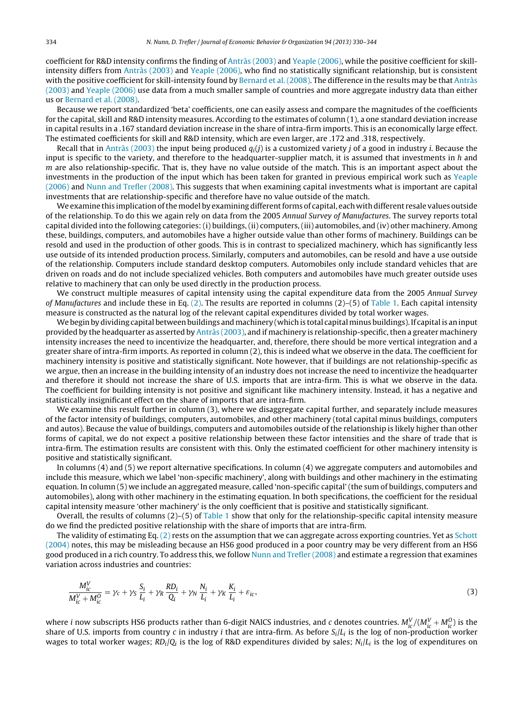<span id="page-4-0"></span>coefficient for R&D intensity confirms the finding of [Antràs](#page-14-0) [\(2003\)](#page-14-0) and [Yeaple](#page-14-0) [\(2006\),](#page-14-0) while the positive coefficient for skillintensity differs from [Antràs](#page-14-0) [\(2003\)](#page-14-0) and [Yeaple](#page-14-0) [\(2006\),](#page-14-0) who find no statistically significant relationship, but is consistent with the positive coefficient for skill-intensity found by [Bernard](#page-14-0) et [al.](#page-14-0) [\(2008\).](#page-14-0) The difference in the results may be that [Antràs](#page-14-0) [\(2003\)](#page-14-0) and [Yeaple](#page-14-0) [\(2006\)](#page-14-0) use data from a much smaller sample of countries and more aggregate industry data than either us or [Bernard](#page-14-0) et [al.](#page-14-0) [\(2008\).](#page-14-0)

Because we report standardized 'beta' coefficients, one can easily assess and compare the magnitudes of the coefficients for the capital, skill and R&D intensity measures. According to the estimates of column (1), a one standard deviation increase in capital results in a .167 standard deviation increase in the share of intra-firm imports. This is an economically large effect. The estimated coefficients for skill and R&D intensity, which are even larger, are .172 and .318, respectively.

Recall that in [Antràs](#page-14-0) [\(2003\)](#page-14-0) the input being produced  $q_i(j)$  is a customized variety j of a good in industry i. Because the input is specific to the variety, and therefore to the headquarter-supplier match, it is assumed that investments in h and  $m$  are also relationship-specific. That is, they have no value outside of the match. This is an important aspect about the investments in the production of the input which has been taken for granted in previous empirical work such as [Yeaple](#page-14-0) [\(2006\)](#page-14-0) and [Nunn](#page-14-0) [and](#page-14-0) [Trefler](#page-14-0) [\(2008\).](#page-14-0) This suggests that when examining capital investments what is important are capital investments that are relationship-specific and therefore have no value outside of the match.

We examine this implication of the model by examining different forms of capital, each with different resale values outside of the relationship. To do this we again rely on data from the 2005 Annual Survey of Manufactures. The survey reports total capital divided into the following categories: (i) buildings, (ii) computers, (iii) automobiles, and (iv) other machinery. Among these, buildings, computers, and automobiles have a higher outside value than other forms of machinery. Buildings can be resold and used in the production of other goods. This is in contrast to specialized machinery, which has significantly less use outside of its intended production process. Similarly, computers and automobiles, can be resold and have a use outside of the relationship. Computers include standard desktop computers. Automobiles only include standard vehicles that are driven on roads and do not include specialized vehicles. Both computers and automobiles have much greater outside uses relative to machinery that can only be used directly in the production process.

We construct multiple measures of capital intensity using the capital expenditure data from the 2005 Annual Survey of Manufactures and include these in Eq.  $(2)$ . The results are reported in columns  $(2)$ – $(5)$  of [Table](#page-3-0) 1. Each capital intensity measure is constructed as the natural log of the relevant capital expenditures divided by total worker wages.

We begin by dividing capital between buildings and machinery (which is total capital minus buildings). If capital is an input provided by the headquarter as asserted by [Antràs](#page-14-0) [\(2003\),](#page-14-0) and if machinery is relationship-specific,then a greater machinery intensity increases the need to incentivize the headquarter, and, therefore, there should be more vertical integration and a greater share of intra-firm imports. As reported in column (2), this is indeed what we observe in the data. The coefficient for machinery intensity is positive and statistically significant. Note however, that if buildings are not relationship-specific as we argue, then an increase in the building intensity of an industry does not increase the need to incentivize the headquarter and therefore it should not increase the share of U.S. imports that are intra-firm. This is what we observe in the data. The coefficient for building intensity is not positive and significant like machinery intensity. Instead, it has a negative and statistically insignificant effect on the share of imports that are intra-firm.

We examine this result further in column (3), where we disaggregate capital further, and separately include measures of the factor intensity of buildings, computers, automobiles, and other machinery (total capital minus buildings, computers and autos). Because the value of buildings, computers and automobiles outside of the relationship is likely higher than other forms of capital, we do not expect a positive relationship between these factor intensities and the share of trade that is intra-firm. The estimation results are consistent with this. Only the estimated coefficient for other machinery intensity is positive and statistically significant.

In columns (4) and (5) we report alternative specifications. In column (4) we aggregate computers and automobiles and include this measure, which we label 'non-specific machinery', along with buildings and other machinery in the estimating equation. In column (5) we include an aggregated measure, called 'non-specific capital' (the sum of buildings, computers and automobiles), along with other machinery in the estimating equation. In both specifications, the coefficient for the residual capital intensity measure 'other machinery' is the only coefficient that is positive and statistically significant.

Overall, the results of columns  $(2)$ – $(5)$  of [Table](#page-3-0) 1 show that only for the relationship-specific capital intensity measure do we find the predicted positive relationship with the share of imports that are intra-firm.

The validity of estimating Eq.  $(2)$  rests on the assumption that we can aggregate across exporting countries. Yet as [Schott](#page-14-0) [\(2004\)](#page-14-0) notes, this may be misleading because an HS6 good produced in a poor country may be very different from an HS6 good produced in a rich country. To address this, we follow [Nunn](#page-14-0) [and](#page-14-0) [Trefler](#page-14-0) [\(2008\)](#page-14-0) and estimate a regression that examines variation across industries and countries:

$$
\frac{M_{ic}^V}{M_{ic}^V + M_{ic}^0} = \gamma_c + \gamma_S \frac{S_i}{L_i} + \gamma_R \frac{RD_i}{Q_i} + \gamma_N \frac{N_i}{L_i} + \gamma_K \frac{K_i}{L_i} + \varepsilon_{ic},\tag{3}
$$

where i now subscripts HS6 products rather than 6-digit NAICS industries, and c denotes countries.  $M_{ic}^V/(M_{ic}^V+M_{ic}^0)$  is the share of U.S. imports from country c in industry *i* that are intra-firm. As before  $S_i/L_i$  is the log of non-production worker wages to total worker wages;  $RD_i/Q_i$  is the log of R&D expenditures divided by sales;  $N_i/L_i$  is the log of expenditures on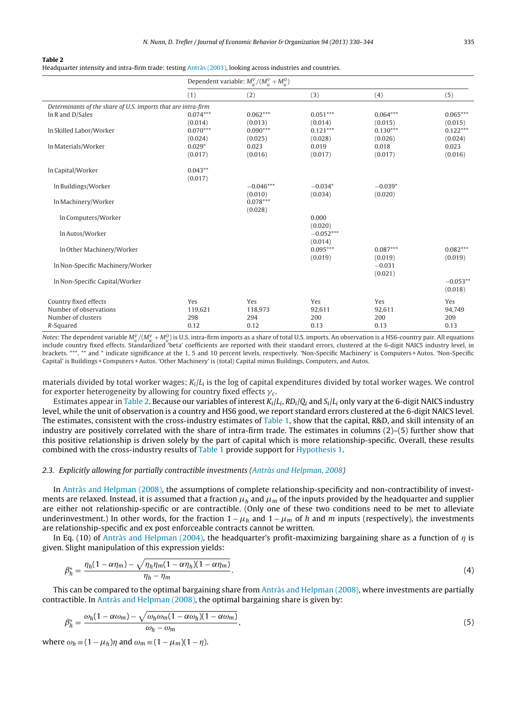<span id="page-5-0"></span>**Table 2**

Headquarter intensity and intra-firm trade: testing [Antràs](#page-14-0) [\(2003\),](#page-14-0) looking across industries and countries.

|                                                               | Dependent variable: $M_{ic}^V/(M_{ic}^V+M_{ic}^O)$ |                       |                       |                       |                       |
|---------------------------------------------------------------|----------------------------------------------------|-----------------------|-----------------------|-----------------------|-----------------------|
|                                                               | (1)                                                | (2)                   | (3)                   | (4)                   | (5)                   |
| Determinants of the share of U.S. imports that are intra-firm |                                                    |                       |                       |                       |                       |
| In R and D/Sales                                              | $0.074***$                                         | $0.062***$            | $0.051***$            | $0.064***$            | $0.065***$            |
|                                                               | (0.014)                                            | (0.013)               | (0.014)               | (0.015)               | (0.015)               |
| In Skilled Labor/Worker                                       | $0.070***$<br>(0.024)                              | $0.090***$<br>(0.025) | $0.121***$<br>(0.028) | $0.130***$<br>(0.026) | $0.122***$<br>(0.024) |
| In Materials/Worker                                           | $0.029*$                                           | 0.023                 | 0.019                 | 0.018                 | 0.023                 |
|                                                               | (0.017)                                            | (0.016)               | (0.017)               | (0.017)               | (0.016)               |
| In Capital/Worker                                             | $0.043**$                                          |                       |                       |                       |                       |
|                                                               | (0.017)                                            |                       |                       |                       |                       |
| In Buildings/Worker                                           |                                                    | $-0.046***$           | $-0.034*$             | $-0.039*$             |                       |
|                                                               |                                                    | (0.010)<br>$0.078***$ | (0.034)               | (0.020)               |                       |
| In Machinery/Worker                                           |                                                    | (0.028)               |                       |                       |                       |
| In Computers/Worker                                           |                                                    |                       | 0.000                 |                       |                       |
|                                                               |                                                    |                       | (0.020)               |                       |                       |
| In Autos/Worker                                               |                                                    |                       | $-0.052***$           |                       |                       |
|                                                               |                                                    |                       | (0.014)               |                       |                       |
| In Other Machinery/Worker                                     |                                                    |                       | $0.095***$            | $0.087***$            | $0.082***$            |
| In Non-Specific Machinery/Worker                              |                                                    |                       | (0.019)               | (0.019)<br>$-0.031$   | (0.019)               |
|                                                               |                                                    |                       |                       | (0.021)               |                       |
| In Non-Specific Capital/Worker                                |                                                    |                       |                       |                       | $-0.053**$            |
|                                                               |                                                    |                       |                       |                       | (0.018)               |
| Country fixed effects                                         | Yes                                                | Yes                   | Yes                   | Yes                   | Yes                   |
| Number of observations                                        | 119,621                                            | 118,973               | 92,611                | 92,611                | 94,749                |
| Number of clusters                                            | 298                                                | 294                   | 200                   | 200                   | 209                   |
| R-Squared                                                     | 0.12                                               | 0.12                  | 0.13                  | 0.13                  | 0.13                  |

Notes: The dependent variable  $M_{ic}^V/(M_{ic}^V+M_{ic}^O)$  is U.S. intra-firm imports as a share of total U.S. imports. An observation is a HS6-country pair. All equations include country fixed effects. Standardized 'beta' coefficients are reported with their standard errors, clustered at the 6-digit NAICS industry level, in brackets. \*\*\*, \*\* and \* indicate significance at the 1, 5 and 10 percent levels, respectively. 'Non-Specific Machinery' is Computers +Autos. 'Non-Specific Capital' is Buildings + Computers +Autos. 'Other Machinery' is (total) Capital minus Buildings, Computers, and Autos.

materials divided by total worker wages;  $K_i/L_i$  is the log of capital expenditures divided by total worker wages. We control for exporter heterogeneity by allowing for country fixed effects  $\gamma_c$ .

Estimates appear in Table 2. Because our variables of interest  $K_i/L_i$ ,  $RD_i/Q_i$  and  $S_i/L_i$  only vary at the 6-digit NAICS industry level, while the unit of observation is a country and HS6 good, we report standard errors clustered at the 6-digit NAICS level. The estimates, consistent with the cross-industry estimates of [Table](#page-3-0) 1, show that the capital, R&D, and skill intensity of an industry are positively correlated with the share of intra-firm trade. The estimates in columns (2)–(5) further show that this positive relationship is driven solely by the part of capital which is more relationship-specific. Overall, these results combined with the cross-industry results of [Table](#page-3-0) 1 provide support for [Hypothesis](#page-2-0) [1.](#page-2-0)

#### 2.3. Explicitly allowing for partially contractible investments [\(Antràs](#page-14-0) [and](#page-14-0) [Helpman,](#page-14-0) [2008\)](#page-14-0)

In [Antràs](#page-14-0) [and](#page-14-0) [Helpman](#page-14-0) [\(2008\),](#page-14-0) the assumptions of complete relationship-specificity and non-contractibility of investments are relaxed. Instead, it is assumed that a fraction  $\mu_h$  and  $\mu_m$  of the inputs provided by the headquarter and supplier are either not relationship-specific or are contractible. (Only one of these two conditions need to be met to alleviate underinvestment.) In other words, for the fraction  $1 - \mu_h$  and  $1 - \mu_m$  of h and m inputs (respectively), the investments are relationship-specific and ex post enforceable contracts cannot be written.

In Eq. (10) of [Antràs](#page-14-0) [and](#page-14-0) [Helpman](#page-14-0) [\(2004\),](#page-14-0) the headquarter's profit-maximizing bargaining share as a function of  $\eta$  is given. Slight manipulation of this expression yields:

$$
\beta_h^* = \frac{\eta_h (1 - \alpha \eta_m) - \sqrt{\eta_h \eta_m (1 - \alpha \eta_h)(1 - \alpha \eta_m)}}{\eta_h - \eta_m}.
$$
\n<sup>(4)</sup>

This can be compared to the optimal bargaining share from [Antràs](#page-14-0) [and](#page-14-0) [Helpman](#page-14-0) [\(2008\),](#page-14-0) where investments are partially contractible. In [Antràs](#page-14-0) [and](#page-14-0) [Helpman](#page-14-0) [\(2008\),](#page-14-0) the optimal bargaining share is given by:

$$
\beta_h^* = \frac{\omega_h (1 - \alpha \omega_m) - \sqrt{\omega_h \omega_m (1 - \alpha \omega_h)(1 - \alpha \omega_m)}}{\omega_h - \omega_m},
$$
\n(5)

where  $\omega_h \equiv (1 - \mu_h) \eta$  and  $\omega_m \equiv (1 - \mu_m)(1 - \eta)$ .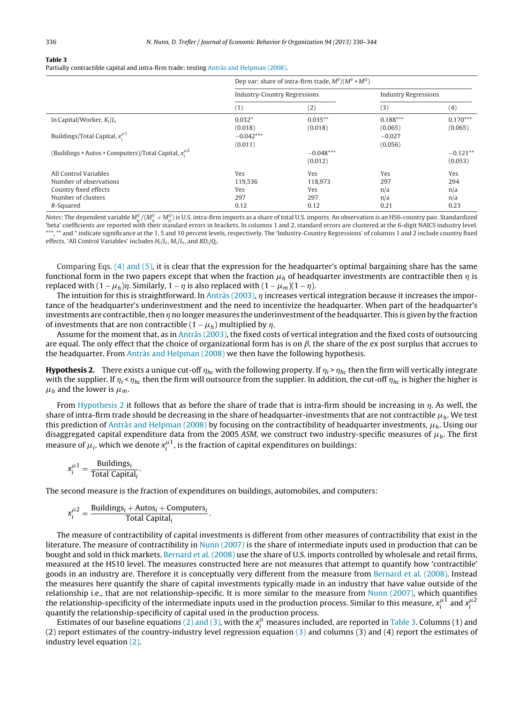#### **Table 3**

Partially contractible capital and intra-firm trade: testing [Antràs](#page-14-0) [and](#page-14-0) [Helpman](#page-14-0) [\(2008\).](#page-14-0)

|                                                                                                             | Dep var: share of intra-firm trade, $M^V/(M^V+M^O)$ |                                      |                                  |                                  |  |
|-------------------------------------------------------------------------------------------------------------|-----------------------------------------------------|--------------------------------------|----------------------------------|----------------------------------|--|
|                                                                                                             | <b>Industry-Country Regressions</b>                 |                                      | <b>Industry Regressions</b>      |                                  |  |
|                                                                                                             | (1)                                                 | (2)                                  | (3)                              | (4)                              |  |
| In Capital/Worker, $K_i/L_i$                                                                                | $0.032*$<br>(0.018)                                 | $0.035**$<br>(0.018)                 | $0.188***$<br>(0.065)            | $0.170***$<br>(0.065)            |  |
| Buildings/Total Capital, $x_i^{\mu 1}$                                                                      | $-0.042***$<br>(0.011)                              |                                      | $-0.027$<br>(0.056)              |                                  |  |
| (Buildings + Autos + Computers)/Total Capital, $x_i^{\mu 2}$                                                |                                                     | $-0.048***$<br>(0.012)               |                                  | $-0.121**$<br>(0.053)            |  |
| All Control Variables<br>Number of observations<br>Country fixed effects<br>Number of clusters<br>R-Squared | Yes<br>119,536<br>Yes<br>297<br>0.12                | Yes<br>118.973<br>Yes<br>297<br>0.12 | Yes<br>297<br>n/a<br>n/a<br>0.21 | Yes<br>294<br>n/a<br>n/a<br>0.23 |  |

Notes: The dependent variable  $M_{i\epsilon}^V/M_{i\epsilon}^V+M_{i\epsilon}^O$  is U.S. intra-firm imports as a share of total U.S. imports. An observation is an HS6-country pair. Standardized 'beta' coefficients are reported with their standard errors in brackets. In columns 1 and 2, standard errors are clustered at the 6-digit NAICS industry level. \*\*\*, \*\* and \* indicate significance at the 1, 5 and 10 percent levels, respectively. The 'Industry-Country Regressions' of columns 1 and 2 include country fixed effects. 'All Control Variables' includes  $H_i/L_i$ ,  $M_i/L_i$ , and  $RD_i/Q_i$ .

Comparing Eqs. [\(4\)](#page-5-0) [and](#page-5-0) [\(5\),](#page-5-0) it is clear that the expression for the headquarter's optimal bargaining share has the same functional form in the two papers except that when the fraction  $\mu_h$  of headquarter investments are contractible then  $\eta$  is replaced with  $(1 - \mu_h)\eta$ . Similarly,  $1 - \eta$  is also replaced with  $(1 - \mu_m)(1 - \eta)$ .

The intuition for this is straightforward. In [Antràs](#page-14-0) [\(2003\),](#page-14-0)  $\eta$  increases vertical integration because it increases the importance of the headquarter's underinvestment and the need to incentivize the headquarter. When part of the headquarter's investments are contractible, then  $\eta$  no longer measures the underinvestment of the headquarter. This is given by the fraction of investments that are non contractible  $(1 - \mu_h)$  multiplied by  $\eta$ .

Assume for the moment that, as in [Antràs](#page-14-0) [\(2003\),](#page-14-0) the fixed costs of vertical integration and the fixed costs of outsourcing are equal. The only effect that the choice of organizational form has is on  $\beta$ , the share of the ex post surplus that accrues to the headquarter. From [Antràs](#page-14-0) [and](#page-14-0) [Helpman](#page-14-0) [\(2008\)](#page-14-0) we then have the following hypothesis.

**Hypothesis 2.** There exists a unique cut-off  $\eta_{hc}$  with the following property. If  $\eta_i > \eta_{hc}$  then the firm will vertically integrate with the supplier. If  $\eta_i < \eta_{hc}$  then the firm will outsource from the supplier. In addition, the cut-off  $\eta_{hc}$  is higher the higher is  $\mu_h$  and the lower is  $\mu_m$ .

From Hypothesis 2 it follows that as before the share of trade that is intra-firm should be increasing in  $\eta$ . As well, the share of intra-firm trade should be decreasing in the share of headquarter-investments that are not contractible  $\mu_h$ . We test this prediction of [Antràs](#page-14-0) [and](#page-14-0) [Helpman](#page-14-0) [\(2008\)](#page-14-0) by focusing on the contractibility of headquarter investments,  $\mu_h$ . Using our disaggregated capital expenditure data from the 2005 ASM, we construct two industry-specific measures of  $\mu_h$ . The first measure of  $\mu_i$ , which we denote  $x_i^{\mu 1}$ , is the fraction of capital expenditures on buildings:

$$
x_i^{\mu 1} = \frac{\text{Buildings}_i}{\text{Total Capital}_i}.
$$

The second measure is the fraction of expenditures on buildings, automobiles, and computers:

$$
x_i^{\mu 2} = \frac{\text{Buildings}_i + \text{Autos}_i + \text{Computers}_i}{\text{Total Capital}_i}.
$$

The measure of contractibility of capital investments is different from other measures of contractibility that exist in the literature. The measure of contractibility in [Nunn](#page-14-0) [\(2007\)](#page-14-0) is the share of intermediate inputs used in production that can be bought and sold in thick markets. [Bernard](#page-14-0) et [al.](#page-14-0) [\(2008\)](#page-14-0) use the share of U.S. imports controlled by wholesale and retail firms, measured at the HS10 level. The measures constructed here are not measures that attempt to quantify how 'contractible' goods in an industry are. Therefore it is conceptually very different from the measure from [Bernard](#page-14-0) et [al.](#page-14-0) [\(2008\).](#page-14-0) Instead the measures here quantify the share of capital investments typically made in an industry that have value outside of the relationship i.e., that are not relationship-specific. It is more similar to the measure from [Nunn](#page-14-0) [\(2007\),](#page-14-0) which quantifies the relationship-specificity of the intermediate inputs used in the production process. Similar to this measure,  $x_i^{\mu 1}$  and  $x_i^{\mu 2}$ quantify the relationship-specificity of capital used in the production process.

Estimates of our baseline equations [\(2\)](#page-3-0) [and](#page-3-0) [\(3\),](#page-3-0) with the  $x_i^{\mu}$  measures included, are reported in Table 3. Columns (1) and (2) report estimates of the country-industry level regression equation [\(3\)](#page-4-0) and columns (3) and (4) report the estimates of industry level equation [\(2\).](#page-3-0)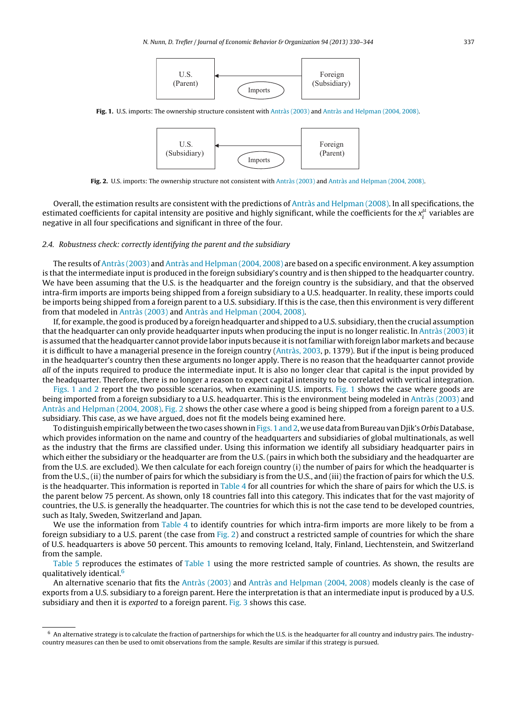

<span id="page-7-0"></span>**Fig. 1.** U.S. imports: The ownership structure consistent with [Antràs](#page-14-0) [\(2003\)](#page-14-0) and [Antràs](#page-14-0) [and](#page-14-0) [Helpman](#page-14-0) [\(2004,](#page-14-0) [2008\).](#page-14-0)



**Fig. 2.** U.S. imports: The ownership structure not consistent with [Antràs](#page-14-0) [\(2003\)](#page-14-0) and [Antràs](#page-14-0) [and](#page-14-0) [Helpman](#page-14-0) [\(2004,](#page-14-0) [2008\).](#page-14-0)

Overall, the estimation results are consistent with the predictions of [Antràs](#page-14-0) [and](#page-14-0) [Helpman](#page-14-0) [\(2008\).](#page-14-0) In all specifications, the estimated coefficients for capital intensity are positive and highly significant, while the coefficients for the  $x_i^{\mu}$  variables are negative in all four specifications and significant in three of the four.

#### 2.4. Robustness check: correctly identifying the parent and the subsidiary

The results of [Antràs](#page-14-0) [\(2003\)](#page-14-0) and [Antràs](#page-14-0) [and](#page-14-0) [Helpman](#page-14-0) [\(2004,](#page-14-0) [2008\)](#page-14-0) are based on a specific environment. A key assumption is that the intermediate input is produced in the foreign subsidiary's country and is then shipped to the headquarter country. We have been assuming that the U.S. is the headquarter and the foreign country is the subsidiary, and that the observed intra-firm imports are imports being shipped from a foreign subsidiary to a U.S. headquarter. In reality, these imports could be imports being shipped from a foreign parent to a U.S. subsidiary. If this is the case, then this environment is very different from that modeled in [Antràs](#page-14-0) [\(2003\)](#page-14-0) and [Antràs](#page-14-0) [and](#page-14-0) [Helpman](#page-14-0) [\(2004,](#page-14-0) [2008\).](#page-14-0)

If, for example, the good is produced by a foreign headquarter and shipped to a U.S. subsidiary, then the crucial assumption that the headquarter can only provide headquarter inputs when producing the input is no longer realistic. In [Antràs](#page-14-0) [\(2003\)](#page-14-0) it is assumed that the headquarter cannot provide labor inputs because it is not familiar with foreign labor markets and because it is difficult to have a managerial presence in the foreign country ([Antràs,](#page-14-0) [2003,](#page-14-0) p. 1379). But if the input is being produced in the headquarter's country then these arguments no longer apply. There is no reason that the headquarter cannot provide all of the inputs required to produce the intermediate input. It is also no longer clear that capital is the input provided by the headquarter. Therefore, there is no longer a reason to expect capital intensity to be correlated with vertical integration.

Figs. 1 and 2 report the two possible scenarios, when examining U.S. imports. Fig. 1 shows the case where goods are being imported from a foreign subsidiary to a U.S. headquarter. This is the environment being modeled in [Antràs](#page-14-0) [\(2003\)](#page-14-0) and [Antràs](#page-14-0) [and](#page-14-0) [Helpman](#page-14-0) [\(2004,](#page-14-0) [2008\).](#page-14-0) Fig. 2 shows the other case where a good is being shipped from a foreign parent to a U.S. subsidiary. This case, as we have argued, does not fit the models being examined here.

To distinguish empirically between the two cases shown in Figs. 1 and 2, we use data from Bureau van Djik's Orbis Database, which provides information on the name and country of the headquarters and subsidiaries of global multinationals, as well as the industry that the firms are classified under. Using this information we identify all subsidiary headquarter pairs in which either the subsidiary or the headquarter are from the U.S. (pairs in which both the subsidiary and the headquarter are from the U.S. are excluded). We then calculate for each foreign country (i) the number of pairs for which the headquarter is from the U.S., (ii) the number of pairs for which the subsidiary is from the U.S., and (iii) the fraction of pairs for which the U.S. is the headquarter. This information is reported in [Table](#page-8-0) 4 for all countries for which the share of pairs for which the U.S. is the parent below 75 percent. As shown, only 18 countries fall into this category. This indicates that for the vast majority of countries, the U.S. is generally the headquarter. The countries for which this is not the case tend to be developed countries, such as Italy, Sweden, Switzerland and Japan.

We use the information from [Table](#page-8-0) 4 to identify countries for which intra-firm imports are more likely to be from a foreign subsidiary to a U.S. parent (the case from Fig. 2) and construct a restricted sample of countries for which the share of U.S. headquarters is above 50 percent. This amounts to removing Iceland, Italy, Finland, Liechtenstein, and Switzerland from the sample.

[Table](#page-8-0) 5 reproduces the estimates of [Table](#page-3-0) 1 using the more restricted sample of countries. As shown, the results are qualitatively identical.6

An alternative scenario that fits the [Antràs](#page-14-0) [\(2003\)](#page-14-0) and [Antràs](#page-14-0) [and](#page-14-0) [Helpman](#page-14-0) [\(2004,](#page-14-0) [2008\)](#page-14-0) models cleanly is the case of exports from a U.S. subsidiary to a foreign parent. Here the interpretation is that an intermediate input is produced by a U.S. subsidiary and then it is *exported* to a foreign parent. [Fig.](#page-8-0) 3 shows this case.

 $6$  An alternative strategy is to calculate the fraction of partnerships for which the U.S. is the headquarter for all country and industry pairs. The industrycountry measures can then be used to omit observations from the sample. Results are similar if this strategy is pursued.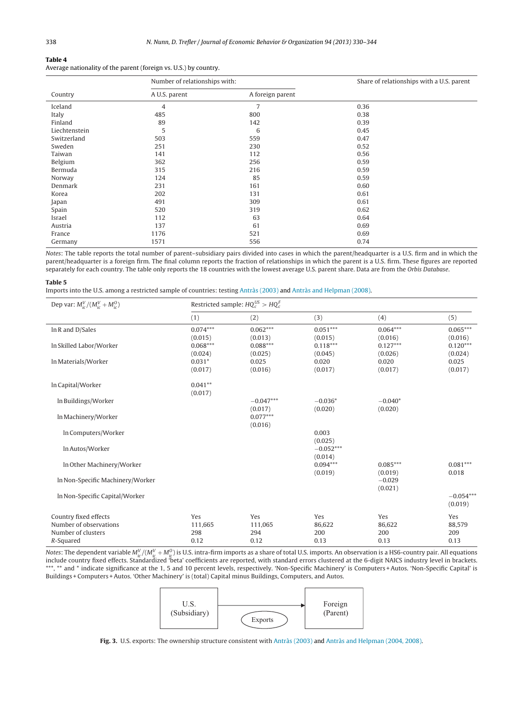#### <span id="page-8-0"></span>**Table 4**

Average nationality of the parent (foreign vs. U.S.) by country.

|               | Number of relationships with: |                  | Share of relationships with a U.S. parent |
|---------------|-------------------------------|------------------|-------------------------------------------|
| Country       | A U.S. parent                 | A foreign parent |                                           |
| Iceland       | 4                             | $\overline{7}$   | 0.36                                      |
| Italy         | 485                           | 800              | 0.38                                      |
| Finland       | 89                            | 142              | 0.39                                      |
| Liechtenstein | 5                             | 6                | 0.45                                      |
| Switzerland   | 503                           | 559              | 0.47                                      |
| Sweden        | 251                           | 230              | 0.52                                      |
| Taiwan        | 141                           | 112              | 0.56                                      |
| Belgium       | 362                           | 256              | 0.59                                      |
| Bermuda       | 315                           | 216              | 0.59                                      |
| Norway        | 124                           | 85               | 0.59                                      |
| Denmark       | 231                           | 161              | 0.60                                      |
| Korea         | 202                           | 131              | 0.61                                      |
| Japan         | 491                           | 309              | 0.61                                      |
| Spain         | 520                           | 319              | 0.62                                      |
| Israel        | 112                           | 63               | 0.64                                      |
| Austria       | 137                           | 61               | 0.69                                      |
| France        | 1176                          | 521              | 0.69                                      |
| Germany       | 1571                          | 556              | 0.74                                      |

Notes: The table reports the total number of parent–subsidiary pairs divided into cases in which the parent/headquarter is a U.S. firm and in which the parent/headquarter is a foreign firm. The final column reports the fraction of relationships in which the parent is a U.S. firm. These figures are reported separately for each country. The table only reports the 18 countries with the lowest average U.S. parent share. Data are from the Orbis Database.

#### **Table 5**

Imports into the U.S. among a restricted sample of countries: testing [Antràs](#page-14-0) [\(2003\)](#page-14-0) and [Antràs](#page-14-0) [and](#page-14-0) [Helpman](#page-14-0) [\(2008\).](#page-14-0)

| Dep var: $M_{ic}^V/(M_{ic}^V+M_{ic}^O)$ | Restricted sample: $HQ_c^{US} > HQ_c^F$ |                        |                        |                       |                        |  |  |
|-----------------------------------------|-----------------------------------------|------------------------|------------------------|-----------------------|------------------------|--|--|
|                                         | (1)                                     | (2)                    | (3)                    | (4)                   | (5)                    |  |  |
| In R and D/Sales                        | $0.074***$<br>(0.015)                   | $0.062***$<br>(0.013)  | $0.051***$<br>(0.015)  | $0.064***$<br>(0.016) | $0.065***$<br>(0.016)  |  |  |
| In Skilled Labor/Worker                 | $0.068***$<br>(0.024)                   | $0.088***$<br>(0.025)  | $0.118***$<br>(0.045)  | $0.127***$<br>(0.026) | $0.120***$<br>(0.024)  |  |  |
| In Materials/Worker                     | $0.031*$<br>(0.017)                     | 0.025<br>(0.016)       | 0.020<br>(0.017)       | 0.020<br>(0.017)      | 0.025<br>(0.017)       |  |  |
| In Capital/Worker                       | $0.041**$<br>(0.017)                    |                        |                        |                       |                        |  |  |
| In Buildings/Worker                     |                                         | $-0.047***$<br>(0.017) | $-0.036*$<br>(0.020)   | $-0.040*$<br>(0.020)  |                        |  |  |
| In Machinery/Worker                     |                                         | $0.077***$<br>(0.016)  |                        |                       |                        |  |  |
| In Computers/Worker                     |                                         |                        | 0.003<br>(0.025)       |                       |                        |  |  |
| In Autos/Worker                         |                                         |                        | $-0.052***$<br>(0.014) |                       |                        |  |  |
| In Other Machinery/Worker               |                                         |                        | $0.094***$<br>(0.019)  | $0.085***$<br>(0.019) | $0.081***$<br>0.018    |  |  |
| In Non-Specific Machinery/Worker        |                                         |                        |                        | $-0.029$<br>(0.021)   |                        |  |  |
| In Non-Specific Capital/Worker          |                                         |                        |                        |                       | $-0.054***$<br>(0.019) |  |  |
| Country fixed effects                   | Yes                                     | Yes                    | Yes                    | Yes                   | Yes                    |  |  |
| Number of observations                  | 111,665                                 | 111,065                | 86,622                 | 86,622                | 88,579                 |  |  |
| Number of clusters<br>R-Squared         | 298<br>0.12                             | 294<br>0.12            | 200<br>0.13            | 200<br>0.13           | 209<br>0.13            |  |  |

Notes: The dependent variable  $M_{ic}^V/(M_{ic}^V+M_{ic}^0)$  is U.S. intra-firm imports as a share of total U.S. imports. An observation is a HS6-country pair. All equations include country fixed effects. Standardized 'beta' coefficients are reported, with standard errors clustered at the 6-digit NAICS industry level in brackets. \*\*\*, \*\* and \* indicate significance at the 1, 5 and 10 percent levels, respectively. 'Non-Specific Machinery' is Computers + Autos. 'Non-Specific Capital' is Buildings + Computers +Autos. 'Other Machinery' is (total) Capital minus Buildings, Computers, and Autos.



**Fig. 3.** U.S. exports: The ownership structure consistent with [Antràs](#page-14-0) [\(2003\)](#page-14-0) and [Antràs](#page-14-0) [and](#page-14-0) [Helpman](#page-14-0) [\(2004,](#page-14-0) [2008\).](#page-14-0)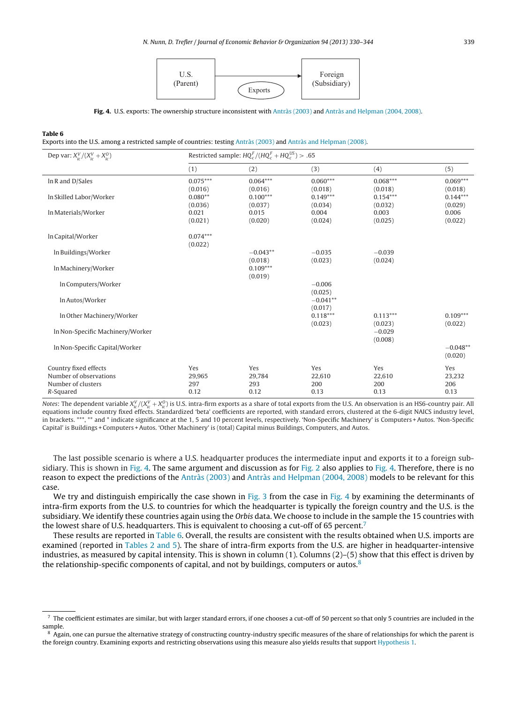

**Fig. 4.** U.S. exports: The ownership structure inconsistent with [Antràs](#page-14-0) [\(2003\)](#page-14-0) and [Antràs](#page-14-0) [and](#page-14-0) [Helpman](#page-14-0) [\(2004,](#page-14-0) [2008\).](#page-14-0)

#### **Table 6**

Exports into the U.S. among a restricted sample of countries: testing [Antràs](#page-14-0) [\(2003\)](#page-14-0) and [Antràs](#page-14-0) [and](#page-14-0) [Helpman](#page-14-0) [\(2008\).](#page-14-0)

| Dep var: $X_{ic}^V/(X_{ic}^V+X_{ic}^0)$                                            | Restricted sample: $HQ_c^F/(HQ_c^F + HQ_c^{US}) > .65$ |                              |                              |                              |                              |
|------------------------------------------------------------------------------------|--------------------------------------------------------|------------------------------|------------------------------|------------------------------|------------------------------|
|                                                                                    | (1)                                                    | (2)                          | (3)                          | (4)                          | (5)                          |
| In R and D/Sales                                                                   | $0.075***$<br>(0.016)                                  | $0.064***$<br>(0.016)        | $0.060***$<br>(0.018)        | $0.068***$<br>(0.018)        | $0.069***$<br>(0.018)        |
| In Skilled Labor/Worker                                                            | $0.080**$<br>(0.036)                                   | $0.100***$<br>(0.037)        | $0.149***$<br>(0.034)        | $0.154***$<br>(0.032)        | $0.144***$<br>(0.029)        |
| In Materials/Worker                                                                | 0.021<br>(0.021)                                       | 0.015<br>(0.020)             | 0.004<br>(0.024)             | 0.003<br>(0.025)             | 0.006<br>(0.022)             |
| In Capital/Worker                                                                  | $0.074***$<br>(0.022)                                  |                              |                              |                              |                              |
| In Buildings/Worker                                                                |                                                        | $-0.043**$<br>(0.018)        | $-0.035$<br>(0.023)          | $-0.039$<br>(0.024)          |                              |
| In Machinery/Worker                                                                |                                                        | $0.109***$<br>(0.019)        |                              |                              |                              |
| In Computers/Worker                                                                |                                                        |                              | $-0.006$<br>(0.025)          |                              |                              |
| In Autos/Worker                                                                    |                                                        |                              | $-0.041**$<br>(0.017)        |                              |                              |
| In Other Machinery/Worker                                                          |                                                        |                              | $0.118***$<br>(0.023)        | $0.113***$<br>(0.023)        | $0.109***$<br>(0.022)        |
| In Non-Specific Machinery/Worker                                                   |                                                        |                              |                              | $-0.029$<br>(0.008)          |                              |
| In Non-Specific Capital/Worker                                                     |                                                        |                              |                              |                              | $-0.048**$<br>(0.020)        |
| Country fixed effects<br>Number of observations<br>Number of clusters<br>R-Squared | Yes<br>29,965<br>297<br>0.12                           | Yes<br>29,784<br>293<br>0.12 | Yes<br>22,610<br>200<br>0.13 | Yes<br>22,610<br>200<br>0.13 | Yes<br>23,232<br>206<br>0.13 |

Notes: The dependent variable  $X_{ic}^V/(X_{ic}^V+X_{ic}^0)$  is U.S. intra-firm exports as a share of total exports from the U.S. An observation is an HS6-country pair. All equations include country fixed effects. Standardized 'beta' coefficients are reported, with standard errors, clustered at the 6-digit NAICS industry level, in brackets. \*\*\*, \*\* and \* indicate significance at the 1, 5 and 10 percent levels, respectively. 'Non-Specific Machinery' is Computers +Autos. 'Non-Specific Capital' is Buildings + Computers +Autos. 'Other Machinery' is (total) Capital minus Buildings, Computers, and Autos.

The last possible scenario is where a U.S. headquarter produces the intermediate input and exports it to a foreign sub-sidiary. This is shown in [Fig.](#page-7-0) 4. The same argument and discussion as for Fig. 2 also applies to Fig. 4. Therefore, there is no reason to expect the predictions of the [Antràs](#page-14-0) [\(2003\)](#page-14-0) and [Antràs](#page-14-0) [and](#page-14-0) [Helpman](#page-14-0) [\(2004,](#page-14-0) [2008\)](#page-14-0) models to be relevant for this case.

We try and distinguish empirically the case shown in [Fig.](#page-8-0) 3 from the case in Fig. 4 by examining the determinants of intra-firm exports from the U.S. to countries for which the headquarter is typically the foreign country and the U.S. is the subsidiary. We identify these countries again using the Orbis data. We choose to include in the sample the 15 countries with the lowest share of U.S. headquarters. This is equivalent to choosing a cut-off of 65 percent.7

These results are reported in Table 6. Overall, the results are consistent with the results obtained when U.S. imports are examined (reported in [Tables](#page-5-0) 2 and 5). The share of intra-firm exports from the U.S. are higher in headquarter-intensive industries, as measured by capital intensity. This is shown in column (1). Columns (2)–(5) show that this effect is driven by the relationship-specific components of capital, and not by buildings, computers or autos.<sup>8</sup>

 $^7$  The coefficient estimates are similar, but with larger standard errors, if one chooses a cut-off of 50 percent so that only 5 countries are included in the sample.

<sup>&</sup>lt;sup>8</sup> Again, one can pursue the alternative strategy of constructing country-industry specific measures of the share of relationships for which the parent is the foreign country. Examining exports and restricting observations using this measure also yields results that support [Hypothesis](#page-2-0) [1.](#page-2-0)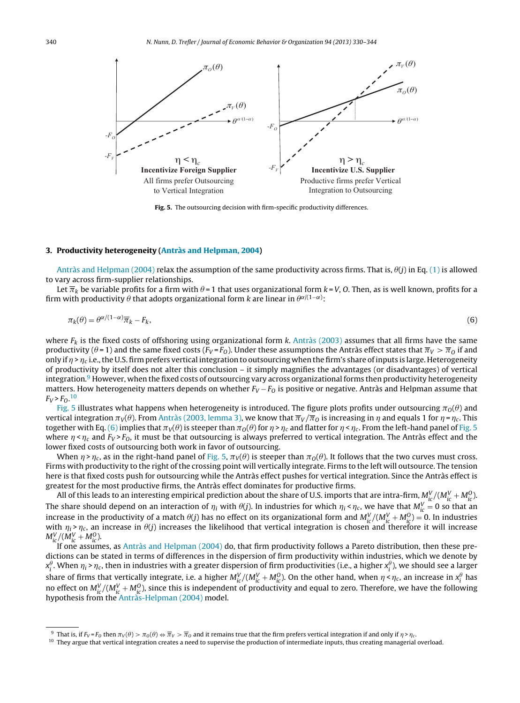<span id="page-10-0"></span>

**Fig. 5.** The outsourcing decision with firm-specific productivity differences.

#### **3. Productivity heterogeneity ([Antràs](#page-14-0) [and](#page-14-0) [Helpman,](#page-14-0) [2004\)](#page-14-0)**

[Antràs](#page-14-0) [and](#page-14-0) [Helpman](#page-14-0) [\(2004\)](#page-14-0) **relax the assumption of the same productivity across firms. That is,**  $\theta$ **(j) in Eq. [\(1\)](#page-1-0) is allowed** to vary across firm-supplier relationships.

Let  $\overline{\pi}_k$  be variable profits for a firm with  $\theta$ =1 that uses organizational form k=V, O. Then, as is well known, profits for a firm with productivity  $\theta$  that adopts organizational form  $k$  are linear in  $\theta^{\alpha/(1-\alpha)}$ :

$$
\pi_k(\theta) = \theta^{\alpha/(1-\alpha)} \overline{\pi}_k - F_k,\tag{6}
$$

where  $F_k$  is the fixed costs of offshoring using organizational form k. [Antràs](#page-14-0) [\(2003\)](#page-14-0) assumes that all firms have the same productivity ( $\theta$ =1) and the same fixed costs ( $F_V$ = $F_O$ ). Under these assumptions the Antràs effect states that  $\overline{\pi}_V>\overline{\pi}_0$  if and only if  $\eta > \eta_c$  i.e., the U.S. firm prefers vertical integration to outsourcing when the firm's share of inputs is large. Heterogeneity of productivity by itself does not alter this conclusion – it simply magnifies the advantages (or disadvantages) of vertical integration. $9$  However, when the fixed costs of outsourcing vary across organizational forms then productivity heterogeneity matters. How heterogeneity matters depends on whether  $F_V - F_O$  is positive or negative. Antràs and Helpman assume that  $F_V > F_O.^{10}$ 

Fig. 5 illustrates what happens when heterogeneity is introduced. The figure plots profits under outsourcing  $\pi_0(\theta)$  and vertical integration  $\pi_V(\theta)$ . From [Antràs](#page-14-0) [\(2003,](#page-14-0) [lemma](#page-14-0) [3\),](#page-14-0) we know that  $\overline\pi_V/\overline\pi_O$  is increasing in  $\eta$  and equals 1 for  $\eta$  =  $\eta_c$ . This together with Eq. (6) implies that  $\pi_V(\theta)$  is steeper than  $\pi_O(\theta)$  for  $\eta$  >  $\eta_c$  and flatter for  $\eta$  <  $\eta_c$ . From the left-hand panel of Fig. 5 where  $\eta$  <  $\eta_c$  and  $F_V$ > $F_O$ , it must be that outsourcing is always preferred to vertical integration. The Antràs effect and the lower fixed costs of outsourcing both work in favor of outsourcing.

When  $\eta$ > $\eta_c$ , as in the right-hand panel of Fig. 5,  $\pi_V(\theta)$  is steeper than  $\pi_O(\theta)$ . It follows that the two curves must cross. Firms with productivity to the right of the crossing point will vertically integrate. Firms to the left will outsource. The tension here is that fixed costs push for outsourcing while the Antràs effect pushes for vertical integration. Since the Antràs effect is greatest for the most productive firms, the Antràs effect dominates for productive firms.

All of this leads to an interesting empirical prediction about the share of U.S. imports that are intra-firm,  $M_{ic}^V/(M_{ic}^V+M_{ic}^O)$ The share should depend on an interaction of  $\eta_i$  with  $\theta(j)$ . In industries for which  $\eta_i<\eta_c$ , we have that  $M_{ic}^V=0$  so that an increase in the productivity of a match  $\theta(j)$  has no effect on its organizational form and  $M_{ic}^V/(M_{ic}^V + M_{ic}^0) = 0$ . In industries with  $\eta_i$ > $\eta_c$ , an increase in  $\theta(j)$  increases the likelihood that vertical integration is chosen and therefore it will increase  $M_{ic}^V / (M_{ic}^V + M_{ic}^O).$ 

If one assumes, as [Antràs](#page-14-0) [and](#page-14-0) [Helpman](#page-14-0) [\(2004\)](#page-14-0) do, that firm productivity follows a Pareto distribution, then these predictions can be stated in terms of differences in the dispersion of firm productivity within industries, which we denote by  $x_i^\theta.$  When  $\eta_i$ > $\eta_c$ , then in industries with a greater dispersion of firm productivities (i.e., a higher  $x_i^\theta$ ), we should see a larger share of firms that vertically integrate, i.e. a higher  $M_{ic}^V/(M_{ic}^V+M_{ic}^O)$ . On the other hand, when  $\eta<\eta_c$ , an increase in  $x_i^\theta$  has no effect on  $M_{ic}^V/(M_{ic}^V+M_{ic}^0)$ , since this is independent of productivity and equal to zero. Therefore, we have the following hypothesis from the [Antràs-Helpman](#page-14-0) [\(2004\)](#page-14-0) model.

<sup>&</sup>lt;sup>9</sup> That is, if  $F_V$ = $F_Q$  then  $\pi_V(\theta) > \pi_Q(\theta)$ 

<sup>&</sup>lt;sup>10</sup> They argue that vertical integration creates a need to supervise the production of intermediate inputs, thus creating managerial overload.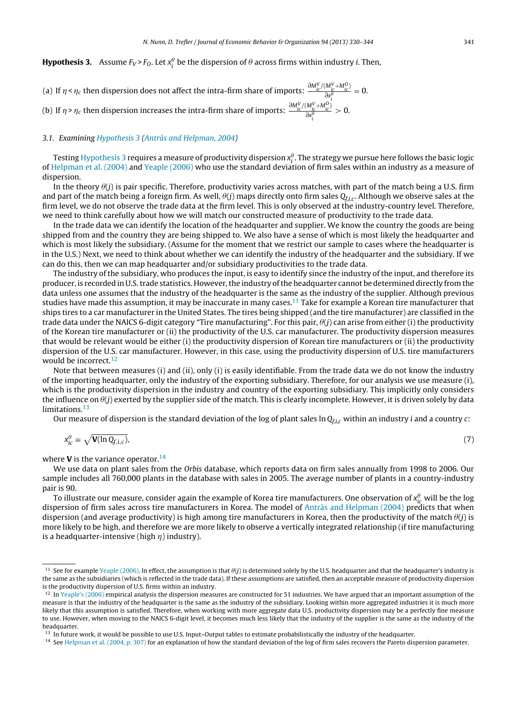# <span id="page-11-0"></span>**Hypothesis 3.** Assume  $F_V$ > $F_O$ . Let  $x_i^{\theta}$  be the dispersion of  $\theta$  across firms within industry i. Then,

(a) If 
$$
\eta < \eta_c
$$
 then dispersion does not affect the intra-firm share of imports:  $\frac{\partial M_{ic}^V / (M_{ic}^V + M_{ic}^0)}{\partial x_i^{\theta}} = 0$ .  
(b) If  $\eta > \eta_c$  then dispersion increases the intra-firm share of imports:  $\frac{\partial M_{ic}^V / (M_{ic}^V + M_{ic}^0)}{\partial x_i^{\theta}} > 0$ .

#### 3.1. Examining Hypothesis 3 ([Antràs](#page-14-0) [and](#page-14-0) [Helpman,](#page-14-0) [2004\)](#page-14-0)

Testing Hypothesis 3 requires a measure of productivity dispersion  $x_i^\theta$ . The strategy we pursue here follows the basic logic of [Helpman](#page-14-0) et [al.](#page-14-0) [\(2004\)](#page-14-0) and [Yeaple](#page-14-0) [\(2006\)](#page-14-0) who use the standard deviation of firm sales within an industry as a measure of dispersion.

In the theory  $\theta$ (j) is pair specific. Therefore, productivity varies across matches, with part of the match being a U.S. firm and part of the match being a foreign firm. As well,  $\theta(j)$  maps directly onto firm sales  $Q_{f,i,c}.$  Although we observe sales at the firm level, we do not observe the trade data at the firm level. This is only observed at the industry-country level. Therefore, we need to think carefully about how we will match our constructed measure of productivity to the trade data.

In the trade data we can identify the location of the headquarter and supplier. We know the country the goods are being shipped from and the country they are being shipped to. We also have a sense of which is most likely the headquarter and which is most likely the subsidiary. (Assume for the moment that we restrict our sample to cases where the headquarter is in the U.S.) Next, we need to think about whether we can identify the industry of the headquarter and the subsidiary. If we can do this, then we can map headquarter and/or subsidiary productivities to the trade data.

The industry of the subsidiary, who produces the input, is easy to identify since the industry of the input, and therefore its producer, is recorded in U.S. trade statistics. However, the industry of the headquarter cannot be determined directly from the data unless one assumes that the industry of the headquarter is the same as the industry of the supplier. Although previous studies have made this assumption, it may be inaccurate in many cases.<sup>11</sup> Take for example a Korean tire manufacturer that ships tires to a car manufacturer in the United States. The tires being shipped (and the tire manufacturer) are classified in the trade data under the NAICS 6-digit category "Tire manufacturing". For this pair,  $\theta(j)$  can arise from either (i) the productivity of the Korean tire manufacturer or (ii) the productivity of the U.S. car manufacturer. The productivity dispersion measures that would be relevant would be either (i) the productivity dispersion of Korean tire manufacturers or (ii) the productivity dispersion of the U.S. car manufacturer. However, in this case, using the productivity dispersion of U.S. tire manufacturers would be incorrect.<sup>12</sup>

Note that between measures (i) and (ii), only (i) is easily identifiable. From the trade data we do not know the industry of the importing headquarter, only the industry of the exporting subsidiary. Therefore, for our analysis we use measure (i), which is the productivity dispersion in the industry and country of the exporting subsidiary. This implicitly only considers the influence on  $\theta$ (j) exerted by the supplier side of the match. This is clearly incomplete. However, it is driven solely by data limitations.<sup>13</sup>

Our measure of dispersion is the standard deviation of the log of plant sales  $\ln Q_{f,i,c}$  within an industry *i* and a country *c*:

$$
x_{ic}^{\theta} \equiv \sqrt{\mathbf{V}(\ln Q_{f,i,c})},\tag{7}
$$

where **V** is the variance operator.<sup>14</sup>

We use data on plant sales from the Orbis database, which reports data on firm sales annually from 1998 to 2006. Our sample includes all 760,000 plants in the database with sales in 2005. The average number of plants in a country-industry pair is 90.

To illustrate our measure, consider again the example of Korea tire manufacturers. One observation of  $x_{ic}^{\theta}$  will be the log dispersion of firm sales across tire manufacturers in Korea. The model of [Antràs](#page-14-0) [and](#page-14-0) [Helpman](#page-14-0) [\(2004\)](#page-14-0) predicts that when dispersion (and average productivity) is high among tire manufacturers in Korea, then the productivity of the match  $\theta(j)$  is more likely to be high, and therefore we are more likely to observe a vertically integrated relationship (if tire manufacturing is a headquarter-intensive (high  $\eta$ ) industry).

 $^{11}$  See for example [Yeaple](#page-14-0) [\(2006\).](#page-14-0) In effect, the assumption is that  $\theta$ (j) is determined solely by the U.S. headquarter and that the headquarter's industry is the same as the subsidiaries (which is reflected in the trade data). If these assumptions are satisfied, then an acceptable measure of productivity dispersion is the productivity dispersion of U.S. firms within an industry.

 $12$  In [Yeaple's](#page-14-0) [\(2006\)](#page-14-0) empirical analysis the dispersion measures are constructed for 51 industries. We have argued that an important assumption of the measure is that the industry of the headquarter is the same as the industry of the subsidiary. Looking within more aggregated industries it is much more likely that this assumption is satisfied. Therefore, when working with more aggregate data U.S. productivity dispersion may be a perfectly fine measure to use. However, when moving to the NAICS 6-digit level, it becomes much less likely that the industry of the supplier is the same as the industry of the headquarter.

<sup>13</sup> In future work, it would be possible to use U.S. Input-Output tables to estimate probabilistically the industry of the headquarter.

<sup>14</sup> See [Helpman](#page-14-0) et [al.](#page-14-0) [\(2004,](#page-14-0) [p.](#page-14-0) [307\)](#page-14-0) for an explanation of how the standard deviation of the log of firm sales recovers the Pareto dispersion parameter.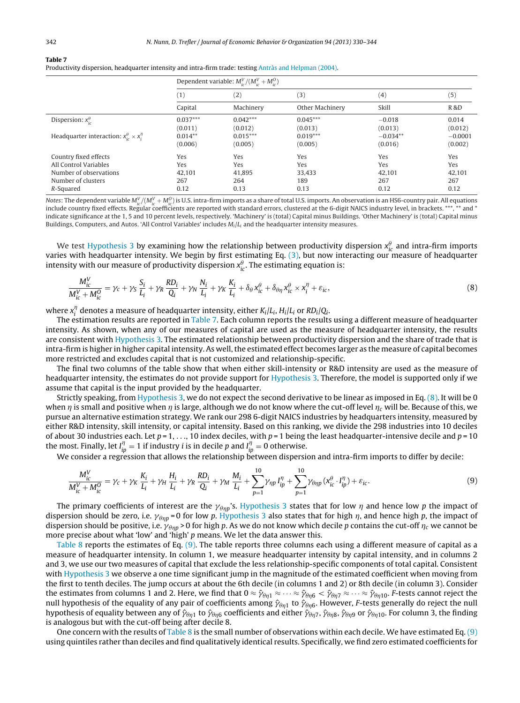| Table |  |  |  |  |
|-------|--|--|--|--|
|-------|--|--|--|--|

| Productivity dispersion, headquarter intensity and intra-firm trade: testing Antràs and Helpman (2004). I |  |  |
|-----------------------------------------------------------------------------------------------------------|--|--|
|-----------------------------------------------------------------------------------------------------------|--|--|

| Dependent variable: $M_{ic}^V/(M_{ic}^V+M_{ic}^0)$ |                                     |                                     |                                     |                                     |
|----------------------------------------------------|-------------------------------------|-------------------------------------|-------------------------------------|-------------------------------------|
| $^{(1)}$                                           | (2)                                 | (3)                                 | (4)                                 | (5)                                 |
| Capital                                            | Machinery                           | Other Machinery                     | Skill                               | <b>R&amp;D</b>                      |
| $0.037***$<br>(0.011)                              | $0.042***$<br>(0.012)               | $0.045***$<br>(0.013)               | $-0.018$<br>(0.013)                 | 0.014<br>(0.012)                    |
| $0.014**$<br>(0.006)                               | $0.015***$<br>(0.005)               | $0.019***$<br>(0.005)               | $-0.034**$<br>(0.016)               | $-0.0001$<br>(0.002)                |
| Yes<br>Yes<br>42.101<br>267<br>0.12                | Yes<br>Yes<br>41.895<br>264<br>0.13 | Yes<br>Yes<br>33.433<br>189<br>0.13 | Yes<br>Yes<br>42.101<br>267<br>0.12 | Yes<br>Yes<br>42.101<br>267<br>0.12 |
|                                                    |                                     |                                     |                                     |                                     |

Notes: The dependent variable  $M_{ic}^V/(M_{ic}^V+M_{ic}^O)$  is U.S. intra-firm imports as a share of total U.S. imports. An observation is an HS6-country pair. All equations include country fixed effects. Regular coefficients are reported with standard errors, clustered at the 6-digit NAICS industry level, in brackets. \*\*\*, \*\* and \* indicate significance at the 1, 5 and 10 percent levels, respectively. 'Machinery' is (total) Capital minus Buildings. 'Other Machinery' is (total) Capital minus Buildings, Computers, and Autos. 'All Control Variables' includes  $M_i/L_i$  and the headquarter intensity measures.

We test [Hypothesis](#page-11-0) [3](#page-11-0) by examining how the relationship between productivity dispersion  $x_{ic}^{\theta}$  and intra-firm imports varies with headquarter intensity. We begin by first estimating Eq.  $(3)$ , but now interacting our measure of headquarter intensity with our measure of productivity dispersion  $x_{ic}^{\theta}$ . The estimating equation is:

$$
\frac{M_{ic}^V}{M_{ic}^V + M_{ic}^0} = \gamma_c + \gamma_S \frac{S_i}{L_i} + \gamma_R \frac{R D_i}{Q_i} + \gamma_N \frac{N_i}{L_i} + \gamma_K \frac{K_i}{L_i} + \delta_\theta x_{ic}^\theta + \delta_{\theta\eta} x_{ic}^\theta \times x_i^\eta + \varepsilon_{ic},\tag{8}
$$

where  $x_i^{\eta}$  denotes a measure of headquarter intensity, either  $K_i/L_i$ ,  $H_i/L_i$  or  $RD_i/Q_i$ .

The estimation results are reported in Table 7. Each column reports the results using a different measure of headquarter intensity. As shown, when any of our measures of capital are used as the measure of headquarter intensity, the results are consistent with [Hypothesis](#page-11-0) [3.](#page-11-0) The estimated relationship between productivity dispersion and the share of trade that is intra-firm is higher in higher capital intensity. As well, the estimated effect becomes larger as the measure of capital becomes more restricted and excludes capital that is not customized and relationship-specific.

The final two columns of the table show that when either skill-intensity or R&D intensity are used as the measure of headquarter intensity, the estimates do not provide support for [Hypothesis](#page-11-0) [3.](#page-11-0) Therefore, the model is supported only if we assume that capital is the input provided by the headquarter.

Strictly speaking, from [Hypothesis](#page-11-0) [3,](#page-11-0) we do not expect the second derivative to be linear as imposed in Eq. (8). It will be 0 when  $\eta$  is small and positive when  $\eta$  is large, although we do not know where the cut-off level  $\eta_c$  will be. Because of this, we pursue an alternative estimation strategy. We rank our 298 6-digit NAICS industries by headquarters intensity, measured by either R&D intensity, skill intensity, or capital intensity. Based on this ranking, we divide the 298 industries into 10 deciles of about 30 industries each. Let  $p = 1, ..., 10$  index deciles, with  $p = 1$  being the least headquarter-intensive decile and  $p = 10$ the most. Finally, let  $I_{ip}^{\eta} = 1$  if industry *i* is in decile p and  $I_{ip}^{\eta} = 0$  otherwise.

We consider a regression that allows the relationship between dispersion and intra-firm imports to differ by decile:

$$
\frac{M_{ic}^V}{M_{ic}^V + M_{ic}^0} = \gamma_c + \gamma_K \frac{K_i}{L_i} + \gamma_H \frac{H_i}{L_i} + \gamma_R \frac{R D_i}{Q_i} + \gamma_M \frac{M_i}{L_i} + \sum_{p=1}^{10} \gamma_{\eta p} I_{ip}^{\eta} + \sum_{p=1}^{10} \gamma_{\theta \eta p} (x_{ic}^{\theta} \cdot I_{ip}^{\eta}) + \varepsilon_{ic}.
$$
\n(9)

The primary coefficients of interest are the  $\gamma_{\theta\eta p}$ 's. [Hypothesis](#page-11-0) [3](#page-11-0) states that for low  $\eta$  and hence low  $p$  the impact of dispersion should be zero, i.e.  $\gamma_{\theta\eta p}$ =0 for low p. [Hypothesis](#page-11-0) [3](#page-11-0) also states that for high  $\eta$ , and hence high  $p$ , the impact of dispersion should be positive, i.e.  $\gamma_{\theta\eta p}$  > 0 for high p. As we do not know which decile p contains the cut-off  $\eta_c$  we cannot be more precise about what 'low' and 'high' p means. We let the data answer this.

[Table](#page-13-0) 8 reports the estimates of Eq. (9). The table reports three columns each using a different measure of capital as a measure of headquarter intensity. In column 1, we measure headquarter intensity by capital intensity, and in columns 2 and 3, we use our two measures of capital that exclude the less relationship-specific components of total capital. Consistent with [Hypothesis](#page-11-0) [3](#page-11-0) we observe a one time significant jump in the magnitude of the estimated coefficient when moving from the first to tenth deciles. The jump occurs at about the 6th decile (in columns 1 and 2) or 8th decile (in column 3). Consider the estimates from columns 1 and 2. Here, we find that  $0\approx\hat{\gamma}_{\theta\eta1}\approx\cdots\approx\hat{\gamma}_{\theta\eta6}<\hat{\gamma}_{\theta\eta7}\approx\cdots\approx\hat{\gamma}_{\theta\eta10}.$  F-tests cannot reject the null hypothesis of the equality of any pair of coefficients among  $\hat\gamma_{\theta\eta1}$  to  $\hat\gamma_{\theta\eta6}$ . However, F-tests generally do reject the null hypothesis of equality between any of  $\hat{\gamma}_{\theta\eta1}$  to  $\hat{\gamma}_{\theta\eta6}$  coefficients and either  $\hat{\gamma}_{\theta\eta7}$ ,  $\hat{\gamma}_{\theta\eta8}$ ,  $\hat{\gamma}_{\theta\eta9}$  or  $\hat{\gamma}_{\theta\eta10}$ . For column 3, the finding is analogous but with the cut-off being after decile 8.

One concern with the results of [Table](#page-13-0) 8 is the small number of observations within each decile. We have estimated Eq. (9) using quintiles rather than deciles and find qualitatively identical results. Specifically, we find zero estimated coefficients for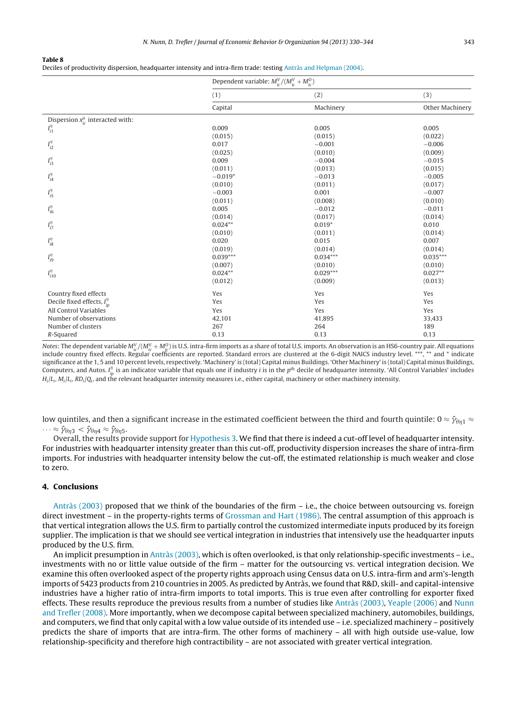<span id="page-13-0"></span>Deciles of productivity dispersion, headquarter intensity and intra-firm trade: testing [Antràs](#page-14-0) [and](#page-14-0) [Helpman](#page-14-0) [\(2004\).](#page-14-0)

|                                               | Dependent variable: $M_{ic}^V/(M_{ic}^V+M_{ic}^0)$ |            |                 |  |
|-----------------------------------------------|----------------------------------------------------|------------|-----------------|--|
|                                               | (1)                                                | (2)        | (3)             |  |
|                                               | Capital                                            | Machinery  | Other Machinery |  |
| Dispersion $x_{ic}^{\theta}$ interacted with: |                                                    |            |                 |  |
| $I_{i1}^{\eta}$                               | 0.009                                              | 0.005      | 0.005           |  |
|                                               | (0.015)                                            | (0.015)    | (0.022)         |  |
| $I_{i2}^{\eta}$                               | 0.017                                              | $-0.001$   | $-0.006$        |  |
|                                               | (0.025)                                            | (0.010)    | (0.009)         |  |
| $I_{i3}^{\eta}$                               | 0.009                                              | $-0.004$   | $-0.015$        |  |
|                                               | (0.011)                                            | (0.013)    | (0.015)         |  |
| $I_{i4}^{\eta}$                               | $-0.019*$                                          | $-0.013$   | $-0.005$        |  |
|                                               | (0.010)                                            | (0.011)    | (0.017)         |  |
| $I_{i5}^{\eta}$                               | $-0.003$                                           | 0.001      | $-0.007$        |  |
|                                               | (0.011)                                            | (0.008)    | (0.010)         |  |
| $I^{\eta}_{i6}$                               | 0.005                                              | $-0.012$   | $-0.011$        |  |
|                                               | (0.014)                                            | (0.017)    | (0.014)         |  |
| $I_{i7}^{\eta}$                               | $0.024**$                                          | $0.019*$   | 0.010           |  |
|                                               | (0.010)                                            | (0.011)    | (0.014)         |  |
| $I^\eta_{i8}$                                 | 0.020                                              | 0.015      | 0.007           |  |
|                                               | (0.019)                                            | (0.014)    | (0.014)         |  |
| $I_{i9}^\eta$                                 | $0.039***$                                         | $0.034***$ | $0.035***$      |  |
|                                               | (0.007)                                            | (0.010)    | (0.010)         |  |
| $I_{i10}^{\eta}$                              | $0.024**$                                          | $0.029***$ | $0.027**$       |  |
|                                               | (0.012)                                            | (0.009)    | (0.013)         |  |
| Country fixed effects                         | Yes                                                | Yes        | Yes             |  |
| Decile fixed effects, $I_{in}^{\eta}$         | Yes                                                | Yes        | Yes             |  |
| All Control Variables                         | Yes                                                | Yes        | Yes             |  |
| Number of observations                        | 42,101                                             | 41,895     | 33,433          |  |
| Number of clusters                            | 267                                                | 264        | 189             |  |
| R-Squared                                     | 0.13                                               | 0.13       | 0.13            |  |

Notes: The dependent variable  $M_{ic}^V/(M_{ic}^V+M_{ic}^0)$  is U.S. intra-firm imports as a share of total U.S. imports. An observation is an HS6-country pair. All equations include country fixed effects. Regular coefficients are reported. Standard errors are clustered at the 6-digit NAICS industry level. \*\*\*, \*\* and \* indicate significance at the 1, 5 and 10 percent levels, respectively. 'Machinery' is (total) Capital minus Buildings. 'Other Machinery' is (total) Capital minus Buildings, Computers, and Autos.  $I_{ip}^{\eta}$  is an indicator variable that equals one if industry  $i$  is in the  $p^{\text{th}}$  decile of headquarter intensity. 'All Control Variables' includes  $H_i|L_i, M_i|L_i, RD_i|Q_i$ , and the relevant headquarter intensity measures i.e., either capital, machinery or other machinery intensity.

low quintiles, and then a significant increase in the estimated coefficient between the third and fourth quintile: 0  $\approx \hat{\gamma}_{\theta\eta1} \approx$ 

 $\cdots\approx\widehat{\mathcal{V}}_{\theta\eta 3}<\widehat{\mathcal{V}}_{\theta\eta 4}\approx\widehat{\mathcal{V}}_{\theta\eta 5}.$ 

Overall, the results provide support for [Hypothesis](#page-11-0) [3.](#page-11-0) We find that there is indeed a cut-off level of headquarter intensity. For industries with headquarter intensity greater than this cut-off, productivity dispersion increases the share of intra-firm imports. For industries with headquarter intensity below the cut-off, the estimated relationship is much weaker and close to zero.

### **4. Conclusions**

[Antràs](#page-14-0) [\(2003\)](#page-14-0) proposed that we think of the boundaries of the firm – i.e., the choice between outsourcing vs. foreign direct investment – in the property-rights terms of [Grossman](#page-14-0) [and](#page-14-0) [Hart](#page-14-0) [\(1986\).](#page-14-0) The central assumption of this approach is that vertical integration allows the U.S. firm to partially control the customized intermediate inputs produced by its foreign supplier. The implication is that we should see vertical integration in industries that intensively use the headquarter inputs produced by the U.S. firm.

An implicit presumption in [Antràs](#page-14-0) [\(2003\),](#page-14-0) which is often overlooked, is that only relationship-specific investments – i.e., investments with no or little value outside of the firm – matter for the outsourcing vs. vertical integration decision. We examine this often overlooked aspect of the property rights approach using Census data on U.S. intra-firm and arm's-length imports of 5423 products from 210 countries in 2005. As predicted by Antràs, we found that R&D, skill- and capital-intensive industries have a higher ratio of intra-firm imports to total imports. This is true even after controlling for exporter fixed effects. These results reproduce the previous results from a number of studies like [Antràs](#page-14-0) [\(2003\),](#page-14-0) [Yeaple](#page-14-0) [\(2006\)](#page-14-0) and [Nunn](#page-14-0) [and](#page-14-0) [Trefler](#page-14-0) [\(2008\).](#page-14-0) More importantly, when we decompose capital between specialized machinery, automobiles, buildings, and computers, we find that only capital with a low value outside of its intended use – i.e. specialized machinery – positively predicts the share of imports that are intra-firm. The other forms of machinery – all with high outside use-value, low relationship-specificity and therefore high contractibility – are not associated with greater vertical integration.